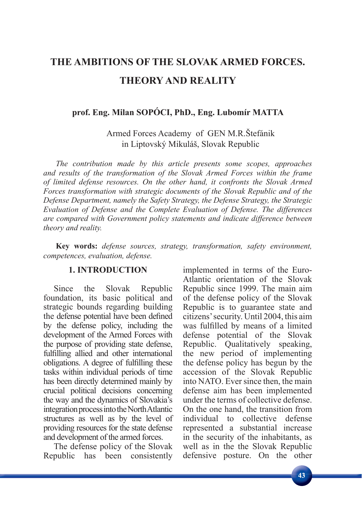# **THE AMBITIONS OF THE SLOVAK ARMED FORCES. THEORY AND REALITY**

## **prof. Eng. Milan SOPÓCI, PhD., Eng. Lubomír MATTA**

Armed Forces Academy of GEN M.R.Štefánik in Liptovský Mikuláš, Slovak Republic

*The contribution made by this article presents some scopes, approaches and results of the transformation of the Slovak Armed Forces within the frame of limited defense resources. On the other hand, it confronts the Slovak Armed Forces transformation with strategic documents of the Slovak Republic and of the Defense Department, namely the Safety Strategy, the Defense Strategy, the Strategic Evaluation of Defense and the Complete Evaluation of Defense. The differences are compared with Government policy statements and indicate difference between theory and reality.*

**Key words:** *defense sources, strategy, transformation, safety environment, competences, evaluation, defense.*

### **1. INTRODUCTION**

Since the Slovak Republic foundation, its basic political and strategic bounds regarding building the defense potential have been defined by the defense policy, including the development of the Armed Forces with the purpose of providing state defense, fulfilling allied and other international obligations. A degree of fulfilling these tasks within individual periods of time has been directly determined mainly by crucial political decisions concerning the way and the dynamics of Slovakia's integration process into the North Atlantic structures as well as by the level of providing resources for the state defense and development of the armed forces.

The defense policy of the Slovak Republic has been consistently implemented in terms of the Euro-Atlantic orientation of the Slovak Republic since 1999. The main aim of the defense policy of the Slovak Republic is to guarantee state and citizens' security. Until 2004, this aim was fulfilled by means of a limited defense potential of the Slovak Republic. Qualitatively speaking, the new period of implementing the defense policy has begun by the accession of the Slovak Republic into NATO. Ever since then, the main defense aim has been implemented under the terms of collective defense. On the one hand, the transition from individual to collective defense represented a substantial increase in the security of the inhabitants, as well as in the the Slovak Republic defensive posture. On the other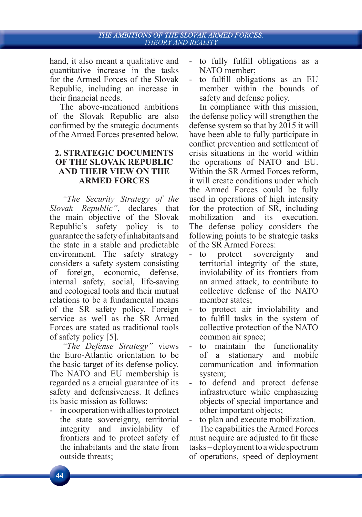### THE AMBITIONS OF THE SLOVAK ARMED FORCES. THEORY AND REALITY

hand, it also meant a qualitative and quantitative increase in the tasks for the Armed Forces of the Slovak Republic, including an increase in their financial needs.

The above-mentioned ambitions of the Slovak Republic are also confirmed by the strategic documents of the Armed Forces presented below.

### **2. STRATEGIC DOCUMENTS OF THE SLOVAK REPUBLIC AND THEIR VIEW ON THE ARMED FORCES**

*"The Security Strategy of the Slovak Republic"*, declares that the main objective of the Slovak Republic's safety policy is to guarantee the safety of inhabitants and the state in a stable and predictable environment. The safety strategy considers a safety system consisting of foreign, economic, defense, internal safety, social, life-saving and ecological tools and their mutual relations to be a fundamental means of the SR safety policy. Foreign service as well as the SR Armed Forces are stated as traditional tools of safety policy [5].

*"The Defense Strategy"* views the Euro-Atlantic orientation to be the basic target of its defense policy. The NATO and EU membership is regarded as a crucial guarantee of its safety and defensiveness. It defines its basic mission as follows:

- in cooperation with allies to protect the state sovereignty, territorial integrity and inviolability of frontiers and to protect safety of the inhabitants and the state from outside threats;

- to fully fulfill obligations as a NATO member;
- to fulfill obligations as an EU member within the bounds of safety and defense policy.

In compliance with this mission, the defense policy will strengthen the defense system so that by 2015 it will have been able to fully participate in conflict prevention and settlement of crisis situations in the world within the operations of NATO and EU. Within the SR Armed Forces reform, it will create conditions under which the Armed Forces could be fully used in operations of high intensity for the protection of SR, including mobilization and its execution. The defense policy considers the following points to be strategic tasks of the SR Armed Forces:

- to protect sovereignty and territorial integrity of the state, inviolability of its frontiers from an armed attack, to contribute to collective defense of the NATO member states;
- to protect air inviolability and to fulfill tasks in the system of collective protection of the NATO common air space;
- to maintain the functionality of a stationary and mobile communication and information system;
- to defend and protect defense infrastructure while emphasizing objects of special importance and other important objects;

to plan and execute mobilization. The capabilities the Armed Forces

must acquire are adjusted to fit these tasks – deployment to a wide spectrum of operations, speed of deployment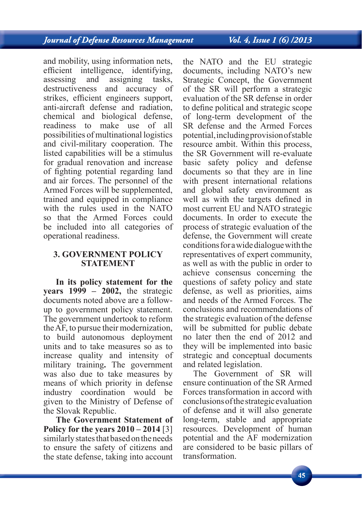and mobility, using information nets, efficient intelligence, identifying, assessing and assigning tasks, destructiveness and accuracy of strikes, efficient engineers support, anti-aircraft defense and radiation, chemical and biological defense, readiness to make use of all possibilities of multinational logistics and civil-military cooperation. The listed capabilities will be a stimulus for gradual renovation and increase of fighting potential regarding land and air forces. The personnel of the Armed Forces will be supplemented, trained and equipped in compliance with the rules used in the NATO so that the Armed Forces could be included into all categories of operational readiness.

### **3. GOVERNMENT POLICY STATEMENT**

**In its policy statement for the years 1999 – 2002,** the strategic documents noted above are a followup to government policy statement. The government undertook to reform the AF, to pursue their modernization, to build autonomous deployment units and to take measures so as to increase quality and intensity of military training**.** The government was also due to take measures by means of which priority in defense industry coordination would be given to the Ministry of Defense of the Slovak Republic.

**The Government Statement of Policy for the years 2010 – 2014** [3] similarly states that based on the needs to ensure the safety of citizens and the state defense, taking into account the NATO and the EU strategic documents, including NATO's new Strategic Concept, the Government of the SR will perform a strategic evaluation of the SR defense in order to define political and strategic scope of long-term development of the SR defense and the Armed Forces potential, including provision of stable resource ambit. Within this process, the SR Government will re-evaluate basic safety policy and defense documents so that they are in line with present international relations and global safety environment as well as with the targets defined in most current EU and NATO strategic documents. In order to execute the process of strategic evaluation of the defense, the Government will create conditions for a wide dialogue with the representatives of expert community, as well as with the public in order to achieve consensus concerning the questions of safety policy and state defense, as well as priorities, aims and needs of the Armed Forces. The conclusions and recommendations of the strategic evaluation of the defense will be submitted for public debate no later then the end of 2012 and they will be implemented into basic strategic and conceptual documents and related legislation.

The Government of SR will ensure continuation of the SR Armed Forces transformation in accord with conclusions of the strategic evaluation of defense and it will also generate long-term, stable and appropriate resources. Development of human potential and the AF modernization are considered to be basic pillars of transformation.

### Vol. 4, Issue 1 (6) /2013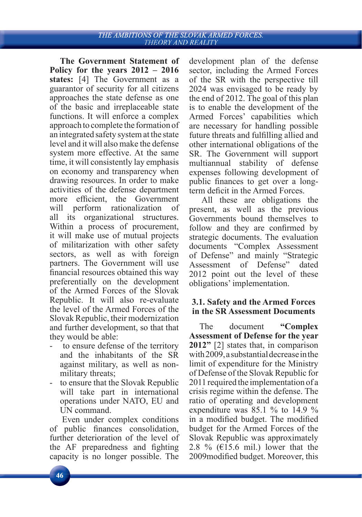**The Government Statement of Policy for the years 2012 – 2016 states:** [4] The Government as a guarantor of security for all citizens approaches the state defense as one of the basic and irreplaceable state functions. It will enforce a complex approach to complete the formation of an integrated safety system at the state level and it will also make the defense system more effective. At the same time, it will consistently lay emphasis on economy and transparency when drawing resources. In order to make activities of the defense department more efficient, the Government will perform rationalization of all its organizational structures. Within a process of procurement, it will make use of mutual projects of militarization with other safety sectors, as well as with foreign partners. The Government will use financial resources obtained this way preferentially on the development of the Armed Forces of the Slovak Republic. It will also re-evaluate the level of the Armed Forces of the Slovak Republic, their modernization and further development, so that that they would be able:

- to ensure defense of the territory and the inhabitants of the SR against military, as well as nonmilitary threats;
- to ensure that the Slovak Republic will take part in international operations under NATO, EU and UN command.

Even under complex conditions of public finances consolidation, further deterioration of the level of the AF preparedness and fighting capacity is no longer possible. The

development plan of the defense sector, including the Armed Forces of the SR with the perspective till 2024 was envisaged to be ready by the end of 2012. The goal of this plan is to enable the development of the Armed Forces' capabilities which are necessary for handling possible future threats and fulfilling allied and other international obligations of the SR. The Government will support multiannual stability of defense expenses following development of public finances to get over a longterm deficit in the Armed Forces.

All these are obligations the present, as well as the previous Governments bound themselves to follow and they are confirmed by strategic documents. The evaluation documents "Complex Assessment of Defense" and mainly "Strategic Assessment of Defense" dated 2012 point out the level of these obligations' implementation.

### **3.1. Safety and the Armed Forces in the SR Assessment Documents**

The document **"Complex Assessment of Defense for the year 2012"** [2] states that, in comparison with 2009, a substantial decrease in the limit of expenditure for the Ministry of Defense of the Slovak Republic for 2011 required the implementation of a crisis regime within the defense. The ratio of operating and development expenditure was  $85.1\%$  to 14.9 % in a modified budget. The modified budget for the Armed Forces of the Slovak Republic was approximately 2.8 % ( $\epsilon$ 15.6 mil.) lower that the 2009 modified budget. Moreover, this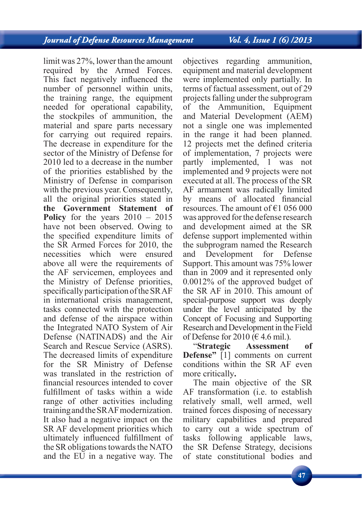Vol. 4, Issue 1 (6) /2013

limit was 27%, lower than the amount required by the Armed Forces. This fact negatively influenced the number of personnel within units, the training range, the equipment needed for operational capability, the stockpiles of ammunition, the material and spare parts necessary for carrying out required repairs. The decrease in expenditure for the sector of the Ministry of Defense for 2010 led to a decrease in the number of the priorities established by the Ministry of Defense in comparison with the previous year. Consequently, all the original priorities stated in **the Government Statement of Policy** for the years 2010 – 2015 have not been observed. Owing to the specified expenditure limits of the SR Armed Forces for 2010, the necessities which were ensured above all were the requirements of the AF servicemen, employees and the Ministry of Defense priorities, specifically participation of the SRAF in international crisis management, tasks connected with the protection and defense of the airspace within the Integrated NATO System of Air Defense (NATINADS) and the Air Search and Rescue Service (ASRS). The decreased limits of expenditure for the SR Ministry of Defense was translated in the restriction of financial resources intended to cover fulfillment of tasks within a wide range of other activities including training and the SR AF modernization. It also had a negative impact on the SR AF development priorities which ultimately influenced fulfillment of the SR obligations towards the NATO and the EU in a negative way. The

objectives regarding ammunition, equipment and material development were implemented only partially. In terms of factual assessment, out of 29 projects falling under the subprogram of the Ammunition, Equipment and Material Development (AEM) not a single one was implemented in the range it had been planned. 12 projects met the defined criteria of implementation, 7 projects were partly implemented, 1 was not implemented and 9 projects were not executed at all. The process of the SR AF armament was radically limited by means of allocated financial resources. The amount of  $\epsilon$ 1 056 000 was approved for the defense research and development aimed at the SR defense support implemented within the subprogram named the Research and Development for Defense Support. This amount was 75% lower than in 2009 and it represented only 0.0012% of the approved budget of the SR AF in 2010. This amount of special-purpose support was deeply under the level anticipated by the Concept of Focusing and Supporting Research and Development in the Field of Defense for 2010 ( $\in$  4.6 mil.).

"**Strategic Assessment of Defense"** [1] comments on current conditions within the SR AF even more critically**.**

The main objective of the SR AF transformation (i.e. to establish relatively small, well armed, well trained forces disposing of necessary military capabilities and prepared to carry out a wide spectrum of tasks following applicable laws, the SR Defense Strategy, decisions of state constitutional bodies and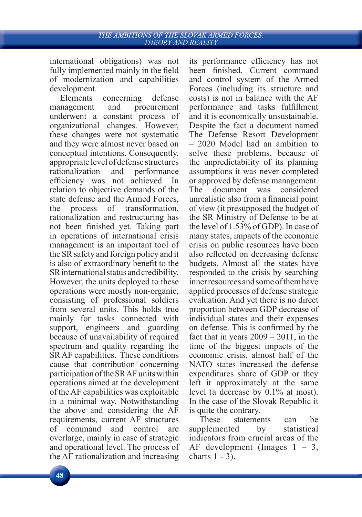international obligations) was not fully implemented mainly in the field of modernization and capabilities development.

Elements concerning defense management and procurement underwent a constant process of organizational changes. However, these changes were not systematic and they were almost never based on conceptual intentions. Consequently, appropriate level of defense structures rationalization and performance efficiency was not achieved. In relation to objective demands of the state defense and the Armed Forces, the process of transformation, rationalization and restructuring has not been finished yet. Taking part in operations of international crisis management is an important tool of the SR safety and foreign policy and it is also of extraordinary benefit to the SR international status and credibility. However, the units deployed to these operations were mostly non-organic, consisting of professional soldiers from several units. This holds true mainly for tasks connected with support, engineers and guarding because of unavailability of required spectrum and quality regarding the SR AF capabilities. These conditions cause that contribution concerning participation of the SR AF units within operations aimed at the development of the AF capabilities was exploitable in a minimal way. Notwithstanding the above and considering the AF requirements, current AF structures of command and control are overlarge, mainly in case of strategic and operational level. The process of the AF rationalization and increasing

its performance efficiency has not been finished. Current command and control system of the Armed Forces (including its structure and costs) is not in balance with the AF performance and tasks fulfillment and it is economically unsustainable. Despite the fact a document named The Defense Resort Development – 2020 Model had an ambition to solve these problems, because of the unpredictability of its planning assumptions it was never completed or approved by defense management. The document was considered unrealistic also from a financial point of view (it presupposed the budget of the SR Ministry of Defense to be at the level of 1.53% of GDP). In case of many states, impacts of the economic crisis on public resources have been also reflected on decreasing defense budgets. Almost all the states have responded to the crisis by searching inner resources and some of them have applied processes of defense strategic evaluation. And yet there is no direct proportion between GDP decrease of individual states and their expenses on defense. This is confirmed by the fact that in years  $2009 - 2011$ , in the time of the biggest impacts of the economic crisis, almost half of the NATO states increased the defense expenditures share of GDP or they left it approximately at the same level (a decrease by 0.1% at most). In the case of the Slovak Republic it is quite the contrary.

These statements can be supplemented by statistical indicators from crucial areas of the AF development (Images  $1 - 3$ , charts 1 - 3).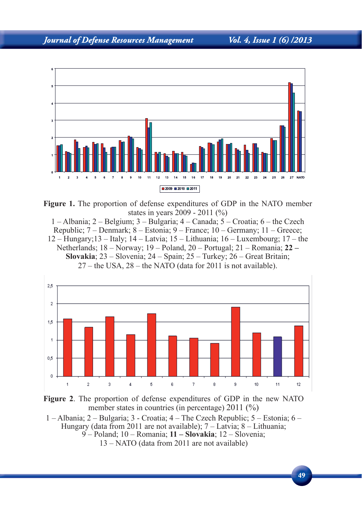

**Figure 1.** The proportion of defense expenditures of GDP in the NATO member states in years 2009 - 2011 (%)

1 – Albania; 2 – Belgium; 3 – Bulgaria; 4 – Canada; 5 – Croatia; 6 – the Czech Republic; 7 – Denmark; 8 – Estonia; 9 – France; 10 – Germany; 11 – Greece; 12 – Hungary;13 – Italy; 14 – Latvia; 15 – Lithuania; 16 – Luxembourg; 17 – the Netherlands; 18 – Norway; 19 – Poland, 20 – Portugal; 21 – Romania; **22 – Slovakia**; 23 – Slovenia; 24 – Spain; 25 – Turkey; 26 – Great Britain; 27 – the USA, 28 – the NATO (data for 2011 is not available).





1 – Albania; 2 – Bulgaria; 3 - Croatia; 4 – The Czech Republic; 5 – Estonia; 6 – Hungary (data from 2011 are not available);  $7 -$ Latvia;  $8 -$ Lithuania; 9 – Poland; 10 – Romania; **11 – Slovakia**; 12 – Slovenia; 13 – NATO (data from 2011 are not available)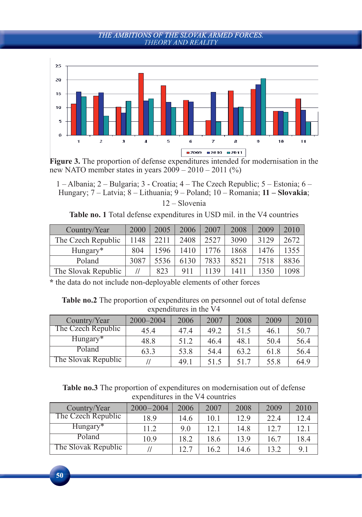

**Figure 3.** The proportion of defense expenditures intended for modernisation in the new NATO member states in years  $2009 - 2010 - 2011$  (%)

1 – Albania; 2 – Bulgaria; 3 - Croatia; 4 – The Czech Republic; 5 – Estonia; 6 – Hungary; 7 – Latvia; 8 – Lithuania; 9 – Poland; 10 – Romania; **11 – Slovakia**; 12 – Slovenia

**Table no. 1** Total defense expenditures in USD mil. in the V4 countries

| Country/Year        | 2000 | 2005 | 2006 | 2007 | 2008 | 2009 | 2010 |
|---------------------|------|------|------|------|------|------|------|
| The Czech Republic  | 1148 | 2211 | 2408 | 2527 | 3090 | 3129 | 2672 |
| Hungary*            | 804  | 1596 | 410  |      | 1868 | 1476 | 1355 |
| Poland              | 3087 | 5536 | 6130 | 7833 | 8521 | 7518 | 8836 |
| The Slovak Republic |      | 823  | 911  | 139  | 1411 | 350  | 1098 |

**\*** the data do not include non-deployable elements of other forces

**Table no.2** The proportion of expenditures on personnel out of total defense expenditures in the V4

| Country/Year        | 2000-2004 | 2006 | 2007 | 2008 | 2009 | 2010 |
|---------------------|-----------|------|------|------|------|------|
| The Czech Republic  | 454       | 474  | 49.2 | 51.5 | 46.1 | 50.7 |
| Hungary*            | 48.8      | 51.2 | 46 4 | 48.1 | 50.4 | 56.4 |
| Poland              | 63.3      | 53.8 | 54.4 | 63.2 | 61.8 | 56.4 |
| The Slovak Republic |           | 49.1 | 51.5 | 517  | 55.8 | 64.9 |

**Table no.3** The proportion of expenditures on modernisation out of defense expenditures in the V4 countries

| Country/Year        | $2000 - 2004$ | 2006 | 2007 | 2008 | 2009 | 2010 |
|---------------------|---------------|------|------|------|------|------|
| The Czech Republic  | 18.9          | 14.6 | 10.1 | 12.9 | 22.4 | 12.4 |
| Hungary*            | 11.2          | 9.0  | 12.1 | 14.8 | 12.7 | 12.1 |
| Poland              | 10.9          | 18.2 | 18.6 | 13.9 | 16.7 | 18.4 |
| The Slovak Republic |               | 12.7 | 6.2  | 14.6 | 13.2 | 91   |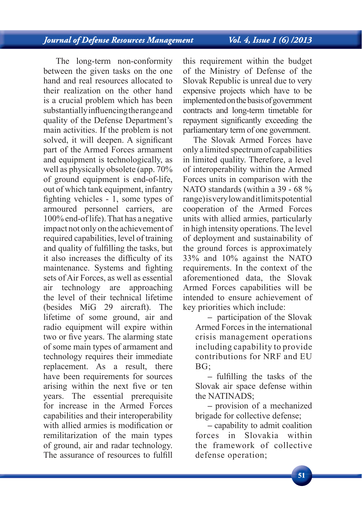The long-term non-conformity between the given tasks on the one hand and real resources allocated to their realization on the other hand is a crucial problem which has been substantially influencing the range and quality of the Defense Department's main activities. If the problem is not solved, it will deepen. A significant part of the Armed Forces armament and equipment is technologically, as well as physically obsolete (app. 70% of ground equipment is end-of-life, out of which tank equipment, infantry fighting vehicles -  $1$ , some types of armoured personnel carriers, are 100% end-of life). That has a negative impact not only on the achievement of required capabilities, level of training and quality of fulfilling the tasks, but it also increases the difficulty of its maintenance. Systems and fighting sets of Air Forces, as well as essential air technology are approaching the level of their technical lifetime (besides MiG 29 aircraft). The lifetime of some ground, air and radio equipment will expire within two or five years. The alarming state of some main types of armament and technology requires their immediate replacement. As a result, there have been requirements for sources arising within the next five or ten years. The essential prerequisite for increase in the Armed Forces capabilities and their interoperability with allied armies is modification or remilitarization of the main types of ground, air and radar technology. The assurance of resources to fulfill

this requirement within the budget of the Ministry of Defense of the Slovak Republic is unreal due to very expensive projects which have to be implemented on the basis of government contracts and long-term timetable for repayment significantly exceeding the parliamentary term of one government.

The Slovak Armed Forces have only a limited spectrum of capabilities in limited quality. Therefore, a level of interoperability within the Armed Forces units in comparison with the NATO standards (within a 39 - 68 % range) is very low and it limits potential cooperation of the Armed Forces units with allied armies, particularly in high intensity operations. The level of deployment and sustainability of the ground forces is approximately 33% and 10% against the NATO requirements. In the context of the aforementioned data, the Slovak Armed Forces capabilities will be intended to ensure achievement of key priorities which include:

**–** participation of the Slovak Armed Forces in the international crisis management operations including capability to provide contributions for NRF and EU BG;

**–** fulfi lling the tasks of the Slovak air space defense within the NATINADS;

**–** provision of a mechanized brigade for collective defense;

**–** capability to admit coalition forces in Slovakia within the framework of collective defense operation;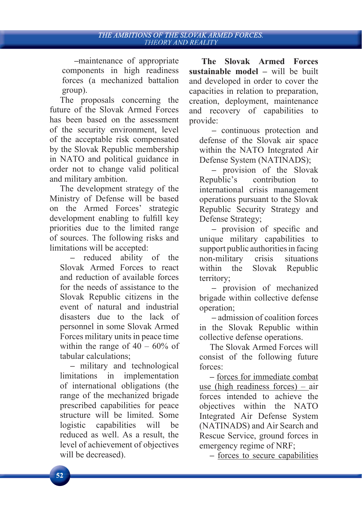**–**maintenance of appropriate components in high readiness forces (a mechanized battalion group).

The proposals concerning the future of the Slovak Armed Forces has been based on the assessment of the security environment, level of the acceptable risk compensated by the Slovak Republic membership in NATO and political guidance in order not to change valid political and military ambition.

The development strategy of the Ministry of Defense will be based on the Armed Forces' strategic development enabling to fulfill key priorities due to the limited range of sources. The following risks and limitations will be accepted:

**–** reduced ability of the Slovak Armed Forces to react and reduction of available forces for the needs of assistance to the Slovak Republic citizens in the event of natural and industrial disasters due to the lack of personnel in some Slovak Armed Forces military units in peace time within the range of  $40 - 60\%$  of tabular calculations;

**–** military and technological limitations in implementation of international obligations (the range of the mechanized brigade prescribed capabilities for peace structure will be limited. Some logistic capabilities will be reduced as well. As a result, the level of achievement of objectives will be decreased).

**The Slovak Armed Forces sustainable model –** will be built and developed in order to cover the capacities in relation to preparation, creation, deployment, maintenance and recovery of capabilities to provide:

**–** continuous protection and defense of the Slovak air space within the NATO Integrated Air Defense System (NATINADS);

**–** provision of the Slovak Republic's contribution to international crisis management operations pursuant to the Slovak Republic Security Strategy and Defense Strategy;

- provision of specific and unique military capabilities to support public authorities in facing non-military crisis situations within the Slovak Republic territory;

**–** provision of mechanized brigade within collective defense operation;

**–** admission of coalition forces in the Slovak Republic within collective defense operations.

The Slovak Armed Forces will consist of the following future forces:

**–** forces for immediate combat use (high readiness forces) – air forces intended to achieve the objectives within the NATO Integrated Air Defense System (NATINADS) and Air Search and Rescue Service, ground forces in emergency regime of NRF;

**–** forces to secure capabilities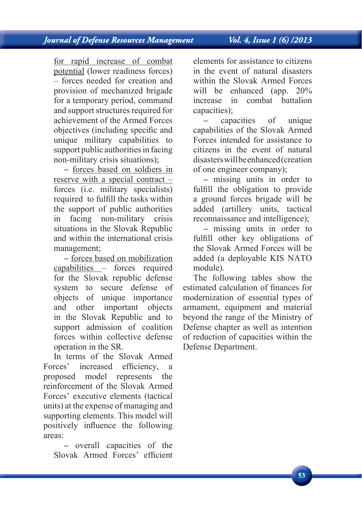### Vol. 4, Issue 1 (6) /2013

for rapid increase of combat potential (lower readiness forces) – forces needed for creation and provision of mechanized brigade for a temporary period, command and support structures required for achievement of the Armed Forces objectives (including specific and unique military capabilities to support public authorities in facing non-military crisis situations);

**–** forces based on soldiers in reserve with a special contract – forces (i.e. military specialists) required to fulfill the tasks within the support of public authorities in facing non-military crisis situations in the Slovak Republic and within the international crisis management;

**–** forces based on mobilization capabilities – forces required for the Slovak republic defense system to secure defense of objects of unique importance and other important objects in the Slovak Republic and to support admission of coalition forces within collective defense operation in the SR.

In terms of the Slovak Armed Forces' increased efficiency, a proposed model represents the reinforcement of the Slovak Armed Forces' executive elements (tactical units) at the expense of managing and supporting elements. This model will positively influence the following areas:

**–** overall capacities of the Slovak Armed Forces' efficient elements for assistance to citizens in the event of natural disasters within the Slovak Armed Forces will be enhanced (app. 20%) increase in combat battalion capacities);

**–** capacities of unique capabilities of the Slovak Armed Forces intended for assistance to citizens in the event of natural disasters will be enhanced (creation of one engineer company);

**–** missing units in order to fulfill the obligation to provide a ground forces brigade will be added (artillery units, tactical reconnaissance and intelligence);

**–** missing units in order to fulfill other key obligations of the Slovak Armed Forces will be added (a deployable KIS NATO module).

The following tables show the estimated calculation of finances for modernization of essential types of armament, equipment and material beyond the range of the Ministry of Defense chapter as well as intention of reduction of capacities within the Defense Department.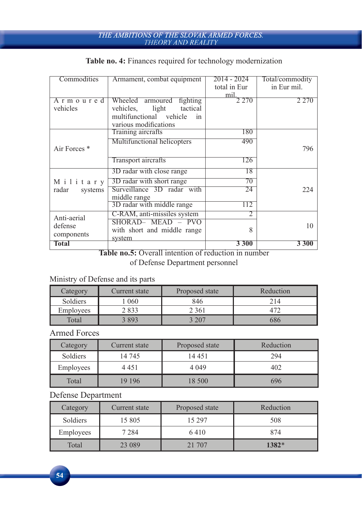# THE AMBITIONS OF THE SLOVAK ARMED FORCES.<br>THEORY AND REALITY

### **Table no. 4:** Finances required for technology modernization

| Commodities             | Armament, combat equipment      | 2014 - 2024  | Total/commodity |
|-------------------------|---------------------------------|--------------|-----------------|
|                         |                                 | total in Eur | in Eur mil.     |
|                         |                                 | mil.         |                 |
| Armoured                | Wheeled<br>fighting<br>armoured | 2 270        | 2 2 7 0         |
| vehicles                | tactical<br>vehicles.<br>light  |              |                 |
|                         | multifunctional vehicle<br>in   |              |                 |
|                         | various modifications           |              |                 |
|                         | Training aircrafts              | 180          |                 |
|                         | Multifunctional helicopters     | 490          |                 |
| Air Forces <sup>*</sup> |                                 |              | 796             |
|                         | Transport aircrafts             | 126          |                 |
|                         | 3D radar with close range       | 18           |                 |
| Military                | 3D radar with short range       | 70           |                 |
| radar<br>systems        | Surveillance 3D radar with      | 24           | 224             |
|                         | middle range                    |              |                 |
|                         | 3D radar with middle range      | 112          |                 |
| Anti-aerial             | C-RAM, anti-missiles system     | 2            |                 |
| defense                 | SHORAD- MEAD - PVO              |              | 10              |
|                         | with short and middle range     | 8            |                 |
| components              | system                          |              |                 |
| Total                   |                                 | 3300         | <b>3300</b>     |

**Table no.5:** Overall intention of reduction in number of Defense Department personnel

### Ministry of Defense and its parts

| Category         | Current state | Proposed state | Reduction |
|------------------|---------------|----------------|-----------|
| Soldiers         | 060           | 846            | 214       |
| <b>Employees</b> | 2 833         | 2 361          |           |
| Total            | $2.893 -$     | $\,$ 207 $\,$  | 586       |

### Armed Forces

| Category  | Current state | Proposed state | Reduction |
|-----------|---------------|----------------|-----------|
| Soldiers  | 14 745        | 14 45 1        | 294       |
| Employees | 4 451         | 4 0 4 9        | 402       |
| Total     | 19 19 6       | 18 500         | 696       |

### Defense Department

 $54$ 

| Category  | Current state | Proposed state | Reduction |
|-----------|---------------|----------------|-----------|
| Soldiers  | 15 805        | 15 297         | 508       |
| Employees | 7 2 8 4       | 6410           | 874       |
| Total     | 23 089        | 21 707         | 1382*     |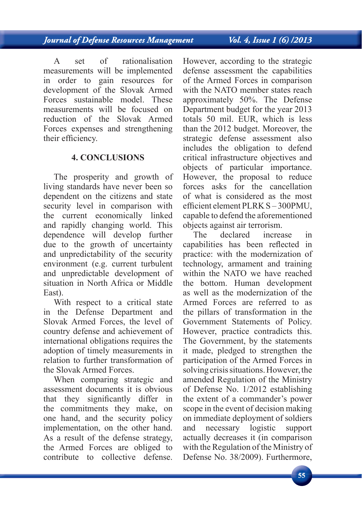A set of rationalisation measurements will be implemented in order to gain resources for development of the Slovak Armed Forces sustainable model. These measurements will be focused on reduction of the Slovak Armed Forces expenses and strengthening their efficiency.

### **4. CONCLUSIONS**

The prosperity and growth of living standards have never been so dependent on the citizens and state security level in comparison with the current economically linked and rapidly changing world. This dependence will develop further due to the growth of uncertainty and unpredictability of the security environment (e.g. current turbulent and unpredictable development of situation in North Africa or Middle East).

With respect to a critical state in the Defense Department and Slovak Armed Forces, the level of country defense and achievement of international obligations requires the adoption of timely measurements in relation to further transformation of the Slovak Armed Forces.

When comparing strategic and assessment documents it is obvious that they significantly differ in the commitments they make, on one hand, and the security policy implementation, on the other hand. As a result of the defense strategy, the Armed Forces are obliged to contribute to collective defense.

However, according to the strategic defense assessment the capabilities of the Armed Forces in comparison with the NATO member states reach approximately 50%. The Defense Department budget for the year 2013 totals 50 mil. EUR, which is less than the 2012 budget. Moreover, the strategic defense assessment also includes the obligation to defend critical infrastructure objectives and objects of particular importance. However, the proposal to reduce forces asks for the cancellation of what is considered as the most efficient element PLRK S – 300PMU, capable to defend the aforementioned objects against air terrorism.

The declared increase in capabilities has been reflected in practice: with the modernization of technology, armament and training within the NATO we have reached the bottom. Human development as well as the modernization of the Armed Forces are referred to as the pillars of transformation in the Government Statements of Policy. However, practice contradicts this. The Government, by the statements it made, pledged to strengthen the participation of the Armed Forces in solving crisis situations. However, the amended Regulation of the Ministry of Defense No. 1/2012 establishing the extent of a commander's power scope in the event of decision making on immediate deployment of soldiers and necessary logistic support actually decreases it (in comparison with the Regulation of the Ministry of Defense No. 38/2009). Furthermore,